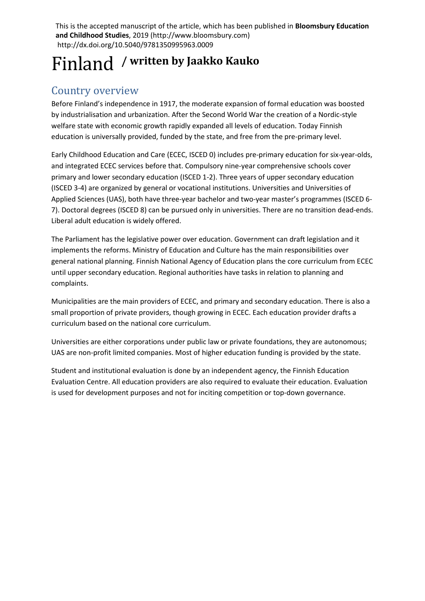This is the accepted manuscript of the article, which has been published in **Bloomsbury Education and Childhood Studies**, 2019 (http://www.bloomsbury.com) http://dx.doi.org/10.5040/9781350995963.0009

# Finland **/ written by Jaakko Kauko**

### Country overview

Before Finland's independence in 1917, the moderate expansion of formal education was boosted by industrialisation and urbanization. After the Second World War the creation of a Nordic-style welfare state with economic growth rapidly expanded all levels of education. Today Finnish education is universally provided, funded by the state, and free from the pre-primary level.

Early Childhood Education and Care (ECEC, ISCED 0) includes pre-primary education for six-year-olds, and integrated ECEC services before that. Compulsory nine-year comprehensive schools cover primary and lower secondary education (ISCED 1-2). Three years of upper secondary education (ISCED 3-4) are organized by general or vocational institutions. Universities and Universities of Applied Sciences (UAS), both have three-year bachelor and two-year master's programmes (ISCED 6- 7). Doctoral degrees (ISCED 8) can be pursued only in universities. There are no transition dead-ends. Liberal adult education is widely offered.

The Parliament has the legislative power over education. Government can draft legislation and it implements the reforms. Ministry of Education and Culture has the main responsibilities over general national planning. Finnish National Agency of Education plans the core curriculum from ECEC until upper secondary education. Regional authorities have tasks in relation to planning and complaints.

Municipalities are the main providers of ECEC, and primary and secondary education. There is also a small proportion of private providers, though growing in ECEC. Each education provider drafts a curriculum based on the national core curriculum.

Universities are either corporations under public law or private foundations, they are autonomous; UAS are non-profit limited companies. Most of higher education funding is provided by the state.

Student and institutional evaluation is done by an independent agency, the Finnish Education Evaluation Centre. All education providers are also required to evaluate their education. Evaluation is used for development purposes and not for inciting competition or top-down governance.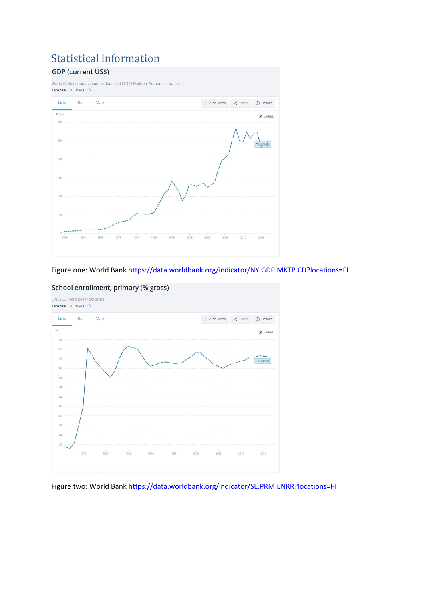## Statistical information<br>GDP (current US\$)



#### Figure one: World Ban[k https://data.worldbank.org/indicator/NY.GDP.MKTP.CD?locations=FI](https://data.worldbank.org/indicator/NY.GDP.MKTP.CD?locations=FI)



#### School enrollment, primary (% gross)

Figure two: World Bank<https://data.worldbank.org/indicator/SE.PRM.ENRR?locations=FI>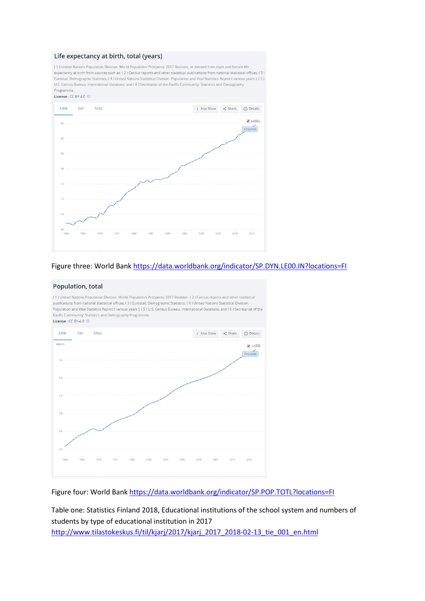#### Life expectancy at birth, total (years)

(1) United Nations Population Division. World Population Prospects: 2017 Revision, or derived from male and female life expectancy at birth from sources such as: (2) Census reports and other statistical publications from national statistical offices. (3) Eurostat: Demographic Statistics, (4) United Nations Statistical Division. Population and Vital Statistics Reprot (various years), (5) U.S. Census Bureau: International Database, and (6) Secretariat of the Pacific Community: Statistics and Demography Programme



#### Figure three: World Ban[k https://data.worldbank.org/indicator/SP.DYN.LE00.IN?locations=FI](https://data.worldbank.org/indicator/SP.DYN.LE00.IN?locations=FI)

#### Population, total

publications from national statistical offices, (3) Eurostat: Demographic Statistics, (4) United Nations Statistical Division. .<br>Population and Vital Statistics Reprot (various years ), (5) U.S. Census Bureau: International Database, and (6) Secretariat of the Pacific Community: Statistics and Demography Programme. License :  $CC$  BY-4.0  $\odot$ Line Bar Map : Also Show < Share (i) Details Million ABEL FINLAND  $5.4$  $5.2$  $50$  $4.8$  $1075$ 1000 1005  $2000$ 2005 2010 2015 1970

(1) United Nations Population Division. World Population Prospects: 2017 Revision. (2) Census reports and other statistical

Figure four: World Bank<https://data.worldbank.org/indicator/SP.POP.TOTL?locations=FI>

Table one: Statistics Finland 2018, Educational institutions of the school system and numbers of students by type of educational institution in 2017 [http://www.tilastokeskus.fi/til/kjarj/2017/kjarj\\_2017\\_2018-02-13\\_tie\\_001\\_en.html](http://www.tilastokeskus.fi/til/kjarj/2017/kjarj_2017_2018-02-13_tie_001_en.html)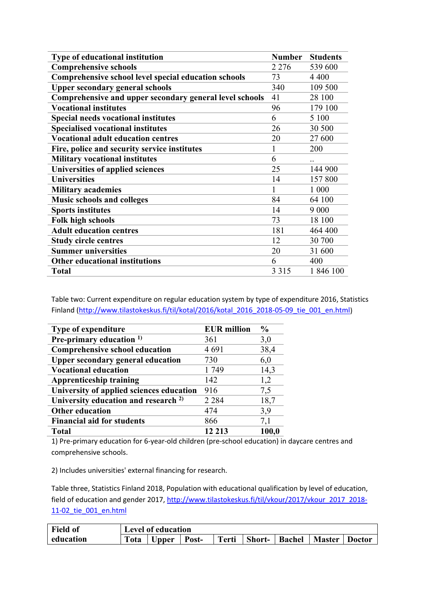| Type of educational institution                         | <b>Number</b> | <b>Students</b> |
|---------------------------------------------------------|---------------|-----------------|
| <b>Comprehensive schools</b>                            | 2 2 7 6       | 539 600         |
| Comprehensive school level special education schools    | 73            | 4 4 0 0         |
| <b>Upper secondary general schools</b>                  | 340           | 109 500         |
| Comprehensive and upper secondary general level schools | 41            | 28 100          |
| <b>Vocational institutes</b>                            | 96            | 179 100         |
| <b>Special needs vocational institutes</b>              | 6             | 5 100           |
| <b>Specialised vocational institutes</b>                | 26            | 30 500          |
| <b>Vocational adult education centres</b>               | 20            | 27 600          |
| Fire, police and security service institutes            | 1             | 200             |
| <b>Military vocational institutes</b>                   | 6             | $\cdot \cdot$   |
| Universities of applied sciences                        | 25            | 144 900         |
| <b>Universities</b>                                     | 14            | 157 800         |
| <b>Military academies</b>                               |               | 1 000           |
| <b>Music schools and colleges</b>                       | 84            | 64 100          |
| <b>Sports institutes</b>                                | 14            | 9 0 0 0         |
| <b>Folk high schools</b>                                | 73            | 18 100          |
| <b>Adult education centres</b>                          | 181           | 464 400         |
| <b>Study circle centres</b>                             | 12            | 30 700          |
| <b>Summer universities</b>                              | 20            | 31 600          |
| <b>Other educational institutions</b>                   | 6             | 400             |
| <b>Total</b>                                            | 3 3 1 5       | 1846 100        |

Table two: Current expenditure on regular education system by type of expenditure 2016, Statistics Finland [\(http://www.tilastokeskus.fi/til/kotal/2016/kotal\\_2016\\_2018-05-09\\_tie\\_001\\_en.html\)](http://www.tilastokeskus.fi/til/kotal/2016/kotal_2016_2018-05-09_tie_001_en.html)

| Type of expenditure                             | <b>EUR</b> million | $\frac{0}{0}$ |
|-------------------------------------------------|--------------------|---------------|
| Pre-primary education $1$ )                     | 361                | 3,0           |
| <b>Comprehensive school education</b>           | 4 6 9 1            | 38,4          |
| <b>Upper secondary general education</b>        | 730                | 6,0           |
| <b>Vocational education</b>                     | 1749               | 14,3          |
| <b>Apprenticeship training</b>                  | 142                | 1,2           |
| University of applied sciences education        | 916                | 7,5           |
| University education and research <sup>2)</sup> | 2 2 8 4            | 18,7          |
| <b>Other education</b>                          | 474                | 3,9           |
| <b>Financial aid for students</b>               | 866                | 7,1           |
| <b>Total</b>                                    | 12 213             | 100,0         |

1) Pre-primary education for 6-year-old children (pre-school education) in daycare centres and comprehensive schools.

2) Includes universities' external financing for research.

Table three, Statistics Finland 2018, Population with educational qualification by level of education, field of education and gender 2017, [http://www.tilastokeskus.fi/til/vkour/2017/vkour\\_2017\\_2018-](http://www.tilastokeskus.fi/til/vkour/2017/vkour_2017_2018-11-02_tie_001_en.html) [11-02\\_tie\\_001\\_en.html](http://www.tilastokeskus.fi/til/vkour/2017/vkour_2017_2018-11-02_tie_001_en.html)

| <b>Field of</b> | <b>Level of education</b> |       |       |              |               |               |               |               |
|-----------------|---------------------------|-------|-------|--------------|---------------|---------------|---------------|---------------|
| education       | Tota                      | ∪pper | Post- | <b>Terti</b> | <b>Short-</b> | <b>Bachel</b> | <b>Master</b> | <b>Doctor</b> |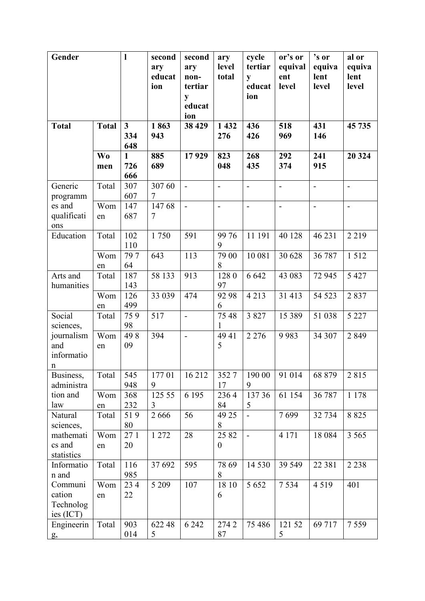| Gender                                         |                  | 1                            | second<br>ary<br>educat | second<br>ary<br>non-         | ary<br>level<br>total     | cycle<br>tertiar<br>y | or's or<br>equival<br>ent | 's or<br>equiva<br>lent | al or<br>equiva<br>lent      |
|------------------------------------------------|------------------|------------------------------|-------------------------|-------------------------------|---------------------------|-----------------------|---------------------------|-------------------------|------------------------------|
|                                                |                  |                              | ion                     | tertiar<br>y<br>educat<br>ion |                           | educat<br>ion         | level                     | level                   | level                        |
| <b>Total</b>                                   | <b>Total</b>     | 3 <sup>1</sup><br>334<br>648 | 1863<br>943             | 38 4 29                       | 1 4 3 2<br>276            | 436<br>426            | 518<br>969                | 431<br>146              | 45 735                       |
|                                                | <b>Wo</b><br>men | $\mathbf{1}$<br>726<br>666   | 885<br>689              | 17929                         | 823<br>048                | 268<br>435            | 292<br>374                | 241<br>915              | 20 324                       |
| Generic<br>programm                            | Total            | 307<br>607                   | 307 60<br>$\tau$        | $\overline{a}$                | $\overline{a}$            | $\overline{a}$        | $\overline{\phantom{a}}$  | $\overline{a}$          | $\qquad \qquad \blacksquare$ |
| es and<br>qualificati<br>ons                   | Wom<br>en        | 147<br>687                   | 14768<br>$\tau$         | $\overline{a}$                | $\overline{a}$            | $\overline{a}$        | $\blacksquare$            | $\overline{a}$          | $\frac{1}{2}$                |
| Education                                      | Total            | 102<br>110                   | 1750                    | 591                           | 99 76<br>9                | 11 191                | 40 128                    | 46 231                  | 2 2 1 9                      |
|                                                | Wom<br>en        | 797<br>64                    | 643                     | 113                           | 79 00<br>8                | 10 081                | 30 628                    | 36 787                  | 1512                         |
| Arts and<br>humanities                         | Total            | 187<br>143                   | 58 133                  | 913                           | 1280<br>97                | 6 6 4 2               | 43 083                    | 72 945                  | 5 4 2 7                      |
|                                                | Wom<br>en        | 126<br>499                   | 33 039                  | 474                           | 92 98<br>6                | 4 2 1 3               | 31 413                    | 54 523                  | 2837                         |
| Social<br>sciences,                            | Total            | 759<br>98                    | 517                     | $\overline{a}$                | 75 48<br>1                | 3 8 2 7               | 15 3 8 9                  | 51 038                  | 5 2 2 7                      |
| journalism<br>and<br>informatio<br>$\mathbf n$ | Wom<br>en        | 498<br>09                    | 394                     | $\overline{a}$                | 49 41<br>5                | 2 2 7 6               | 9983                      | 34 307                  | 2849                         |
| Business,<br>administra                        | Total            | 545<br>948                   | 17701<br>9              | 16 212                        | 3527<br>17                | 190 00<br>9           | 91 014                    | 68 879                  | 2815                         |
| tion and<br>law                                | Wom<br>en        | 368<br>232                   | 125 55<br>3             | 6 1 9 5                       | 2364<br>84                | 137 36<br>5           | 61 154                    | 36 787                  | 1 1 7 8                      |
| Natural<br>sciences,                           | Total            | 519<br>80                    | 2666                    | 56                            | 49 25<br>8                |                       | 7699                      | 32 734                  | 8 8 2 5                      |
| mathemati<br>cs and<br>statistics              | Wom<br>en        | 271<br>20                    | 1 272                   | 28                            | 25 82<br>$\boldsymbol{0}$ | $\overline{a}$        | 4 1 7 1                   | 18 0 84                 | 3 5 6 5                      |
| Informatio<br>n and                            | Total            | 116<br>985                   | 37 692                  | 595                           | 78 69<br>8                | 14 5 30               | 39 549                    | 22 381                  | 2 2 3 8                      |
| Communi<br>cation<br>Technolog<br>ies (ICT)    | Wom<br>en        | 234<br>22                    | 5 2 0 9                 | 107                           | 18 10<br>6                | 5 6 5 2               | 7 5 3 4                   | 4 5 1 9                 | 401                          |
| Engineerin<br>g,                               | Total            | 903<br>014                   | 622 48<br>5             | 6 2 4 2                       | 2742<br>87                | 75 486                | 121 52<br>5               | 69 717                  | 7559                         |